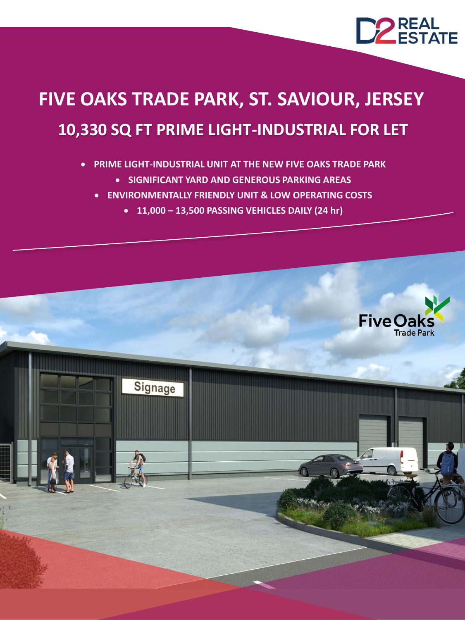

# **10,330 SQ FT PRIME LIGHT-INDUSTRIAL FOR LET FIVE OAKS TRADE PARK, ST. SAVIOUR, JERSEY**

#### • **PRIME LIGHT-INDUSTRIAL UNIT AT THE NEW FIVE OAKS TRADE PARK**

- **SIGNIFICANT YARD AND GENEROUS PARKING AREAS**
- **ENVIRONMENTALLY FRIENDLY UNIT & LOW OPERATING COSTS**
	- **11,000 – 13,500 PASSING VEHICLES DAILY (24 hr)**

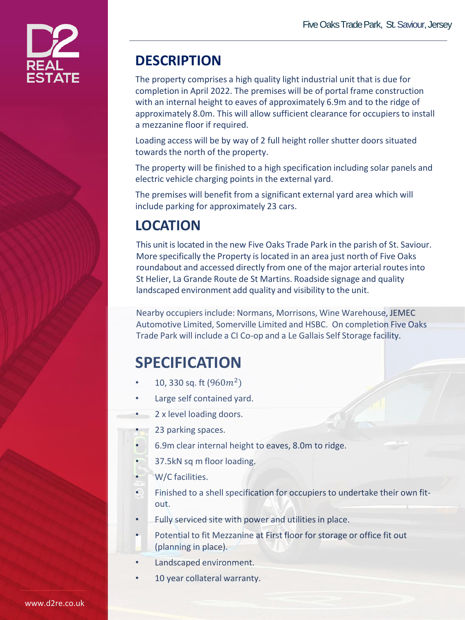

### **DESCRIPTION**

The property comprises a high quality light industrial unit that is due for completion in April 2022. The premises will be of portal frame construction with an internal height to eaves of approximately 6.9m and to the ridge of approximately 8.0m. This will allow sufficient clearance for occupiers to install a mezzanine floor if required.

Loading access will be by way of 2 full height roller shutter doors situated towards the north of the property.

The property will be finished to a high specification including solar panels and electric vehicle charging points in the external yard.

The premises will benefit from a significant external yard area which will include parking for approximately 23 cars.

## **LOCATION**

This unit is located in the new Five Oaks Trade Park in the parish of St. Saviour. More specifically the Property is located in an area just north of Five Oaks roundabout and accessed directly from one of the major arterial routes into St Helier, La Grande Route de St Martins. Roadside signage and quality landscaped environment add quality and visibility to the unit.

Nearby occupiers include: Normans, Morrisons, Wine Warehouse, JEMEC Automotive Limited, Somerville Limited and HSBC. On completion Five Oaks Trade Park will include a CI Co-op and a Le Gallais Self Storage facility.

## **SPECIFICATION**

- 10, 330 sq. ft  $(960m^2)$
- Large self contained yard.
- 2 x level loading doors.
	- 23 parking spaces.
- 6.9m clear internal height to eaves, 8.0m to ridge.
- 37.5kN sq m floor loading.
- W/C facilities.
- Finished to a shell specification for occupiers to undertake their own fitout.
- Fully serviced site with power and utilities in place.
- Potential to fit Mezzanine at First floor for storage or office fit out (planning in place).
- Landscaped environment.
- 10 year collateral warranty.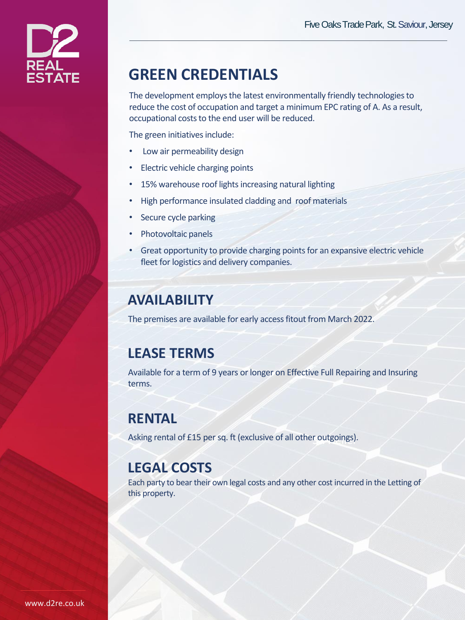

## **GREEN CREDENTIALS**

The development employs the latest environmentally friendly technologies to reduce the cost of occupation and target a minimum EPC rating of A. As a result, occupational costs to the end user will be reduced.

The green initiatives include:

- Low air permeability design
- Electric vehicle charging points
- 15% warehouse roof lights increasing natural lighting
- High performance insulated cladding and roof materials
- Secure cycle parking
- Photovoltaic panels
- Great opportunity to provide charging points for an expansive electric vehicle fleet for logistics and delivery companies.

#### **AVAILABILITY**

The premises are available for early access fitout from March 2022.

#### **LEASE TERMS**

Available for a term of 9 years or longer on Effective Full Repairing and Insuring terms.

#### **RENTAL**

Asking rental of £15 per sq. ft (exclusive of all other outgoings).

#### **LEGAL COSTS**

Each party to bear their own legal costs and any other cost incurred in the Letting of this property.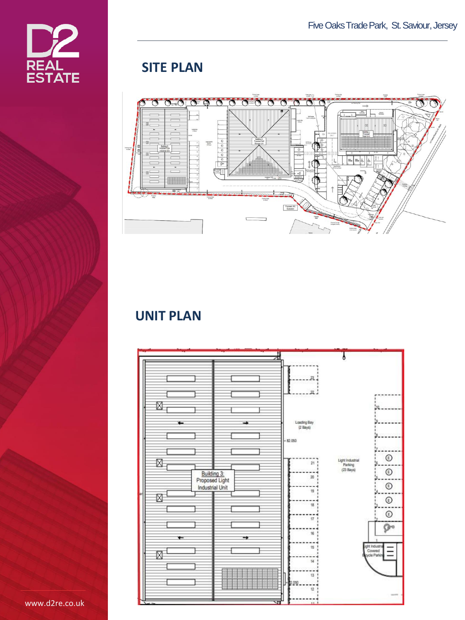

### **SITE PLAN**



#### **UNIT PLAN**



www.d2re.co.uk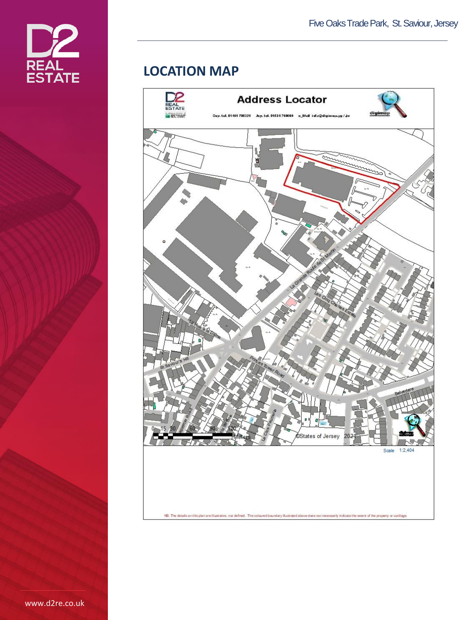

#### **LOCATION MAP**



www.d2re.co.uk